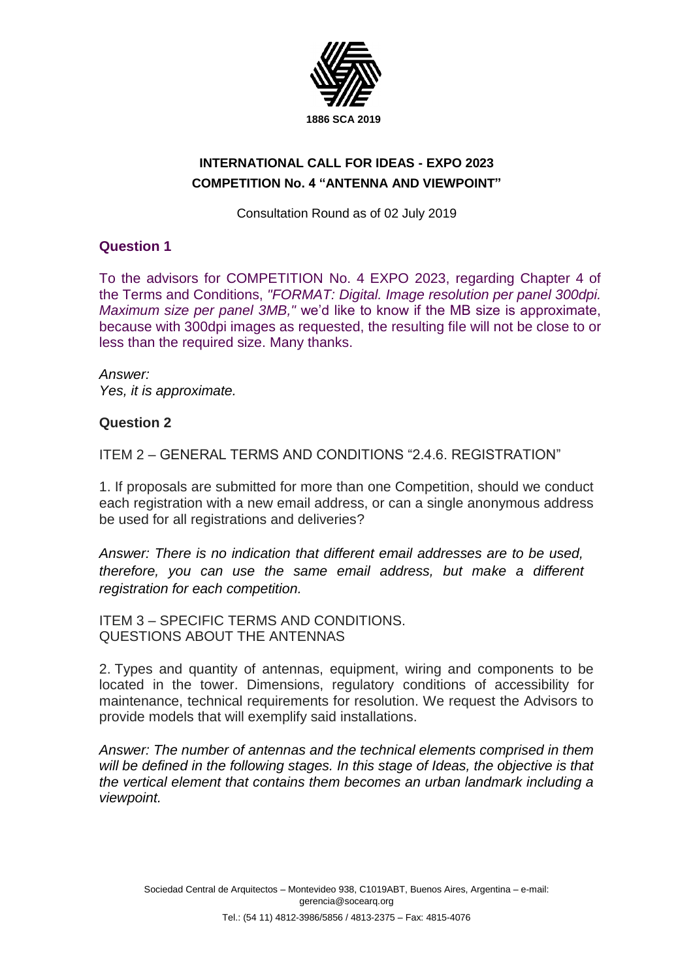

# **INTERNATIONAL CALL FOR IDEAS - EXPO 2023 COMPETITION No. 4 "ANTENNA AND VIEWPOINT"**

Consultation Round as of 02 July 2019

### **Question 1**

To the advisors for COMPETITION No. 4 EXPO 2023, regarding Chapter 4 of the Terms and Conditions, *"FORMAT: Digital. Image resolution per panel 300dpi. Maximum size per panel 3MB,"* we'd like to know if the MB size is approximate, because with 300dpi images as requested, the resulting file will not be close to or less than the required size. Many thanks.

*Answer: Yes, it is approximate.* 

### **Question 2**

ITEM 2 – GENERAL TERMS AND CONDITIONS "2.4.6. REGISTRATION"

1. If proposals are submitted for more than one Competition, should we conduct each registration with a new email address, or can a single anonymous address be used for all registrations and deliveries?

*Answer: There is no indication that different email addresses are to be used, therefore, you can use the same email address, but make a different registration for each competition.* 

ITEM 3 – SPECIFIC TERMS AND CONDITIONS. QUESTIONS ABOUT THE ANTENNAS

2. Types and quantity of antennas, equipment, wiring and components to be located in the tower. Dimensions, regulatory conditions of accessibility for maintenance, technical requirements for resolution. We request the Advisors to provide models that will exemplify said installations.

*Answer: The number of antennas and the technical elements comprised in them will be defined in the following stages. In this stage of Ideas, the objective is that the vertical element that contains them becomes an urban landmark including a viewpoint.*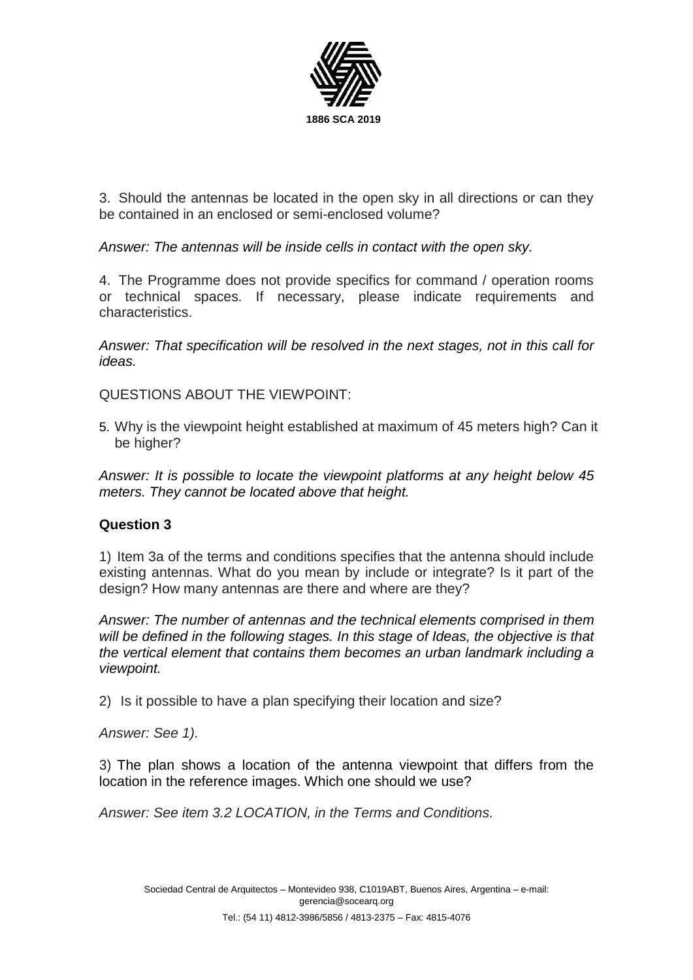

3. Should the antennas be located in the open sky in all directions or can they be contained in an enclosed or semi-enclosed volume?

*Answer: The antennas will be inside cells in contact with the open sky.* 

4. The Programme does not provide specifics for command / operation rooms or technical spaces. If necessary, please indicate requirements and characteristics.

*Answer: That specification will be resolved in the next stages, not in this call for ideas.* 

QUESTIONS ABOUT THE VIEWPOINT:

5. Why is the viewpoint height established at maximum of 45 meters high? Can it be higher?

*Answer: It is possible to locate the viewpoint platforms at any height below 45 meters. They cannot be located above that height.* 

## **Question 3**

1) Item 3a of the terms and conditions specifies that the antenna should include existing antennas. What do you mean by include or integrate? Is it part of the design? How many antennas are there and where are they?

*Answer: The number of antennas and the technical elements comprised in them will be defined in the following stages. In this stage of Ideas, the objective is that the vertical element that contains them becomes an urban landmark including a viewpoint.*

2) Is it possible to have a plan specifying their location and size?

*Answer: See 1).* 

3) The plan shows a location of the antenna viewpoint that differs from the location in the reference images. Which one should we use?

*Answer: See item 3.2 LOCATION, in the Terms and Conditions.*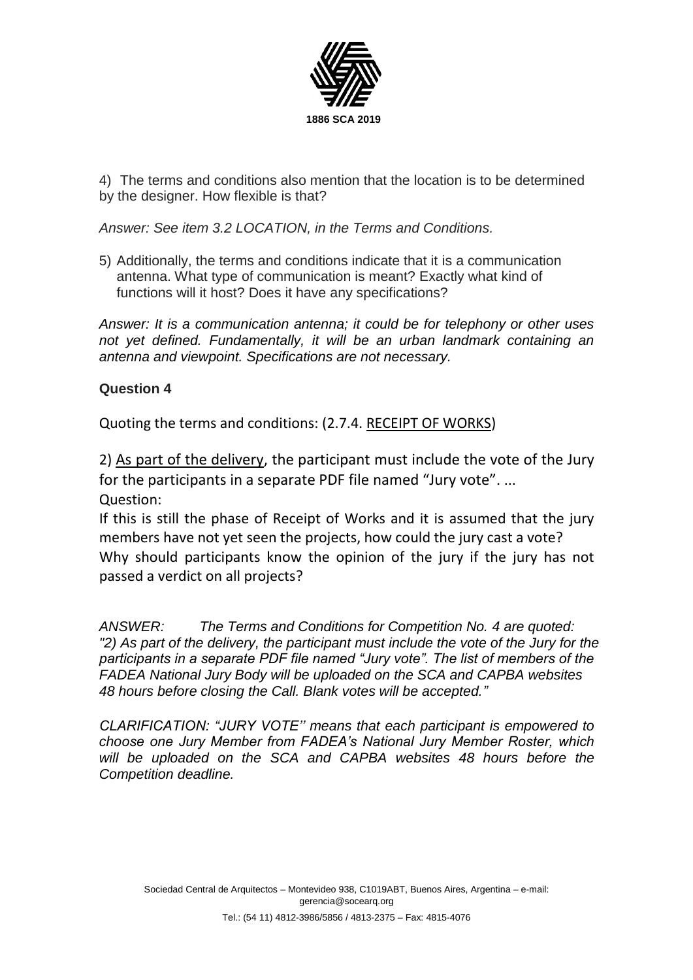

4) The terms and conditions also mention that the location is to be determined by the designer. How flexible is that?

*Answer: See item 3.2 LOCATION, in the Terms and Conditions.*

5) Additionally, the terms and conditions indicate that it is a communication antenna. What type of communication is meant? Exactly what kind of functions will it host? Does it have any specifications?

*Answer: It is a communication antenna; it could be for telephony or other uses not yet defined. Fundamentally, it will be an urban landmark containing an antenna and viewpoint. Specifications are not necessary.* 

## **Question 4**

Quoting the terms and conditions: (2.7.4. RECEIPT OF WORKS)

2) As part of the delivery, the participant must include the vote of the Jury for the participants in a separate PDF file named "Jury vote". ... Question:

If this is still the phase of Receipt of Works and it is assumed that the jury members have not yet seen the projects, how could the jury cast a vote? Why should participants know the opinion of the jury if the jury has not passed a verdict on all projects?

*ANSWER: The Terms and Conditions for Competition No. 4 are quoted: "2) As part of the delivery, the participant must include the vote of the Jury for the participants in a separate PDF file named "Jury vote". The list of members of the FADEA National Jury Body will be uploaded on the SCA and CAPBA websites 48 hours before closing the Call. Blank votes will be accepted."*

*CLARIFICATION: "JURY VOTE'' means that each participant is empowered to choose one Jury Member from FADEA's National Jury Member Roster, which will be uploaded on the SCA and CAPBA websites 48 hours before the Competition deadline.*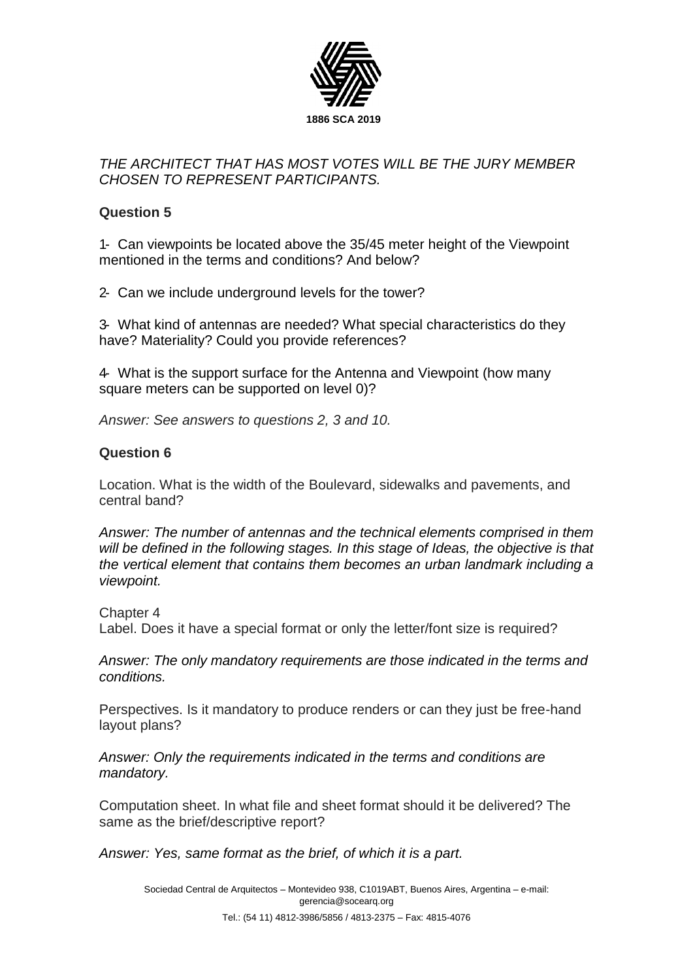

## *THE ARCHITECT THAT HAS MOST VOTES WILL BE THE JURY MEMBER CHOSEN TO REPRESENT PARTICIPANTS.*

## **Question 5**

1- Can viewpoints be located above the 35/45 meter height of the Viewpoint mentioned in the terms and conditions? And below?

2- Can we include underground levels for the tower?

3- What kind of antennas are needed? What special characteristics do they have? Materiality? Could you provide references?

4- What is the support surface for the Antenna and Viewpoint (how many square meters can be supported on level 0)?

*Answer: See answers to questions 2, 3 and 10.*

### **Question 6**

Location. What is the width of the Boulevard, sidewalks and pavements, and central band?

*Answer: The number of antennas and the technical elements comprised in them will be defined in the following stages. In this stage of Ideas, the objective is that the vertical element that contains them becomes an urban landmark including a viewpoint.*

Chapter 4 Label. Does it have a special format or only the letter/font size is required?

*Answer: The only mandatory requirements are those indicated in the terms and conditions.* 

Perspectives. Is it mandatory to produce renders or can they just be free-hand layout plans?

*Answer: Only the requirements indicated in the terms and conditions are mandatory.* 

Computation sheet. In what file and sheet format should it be delivered? The same as the brief/descriptive report?

*Answer: Yes, same format as the brief, of which it is a part.*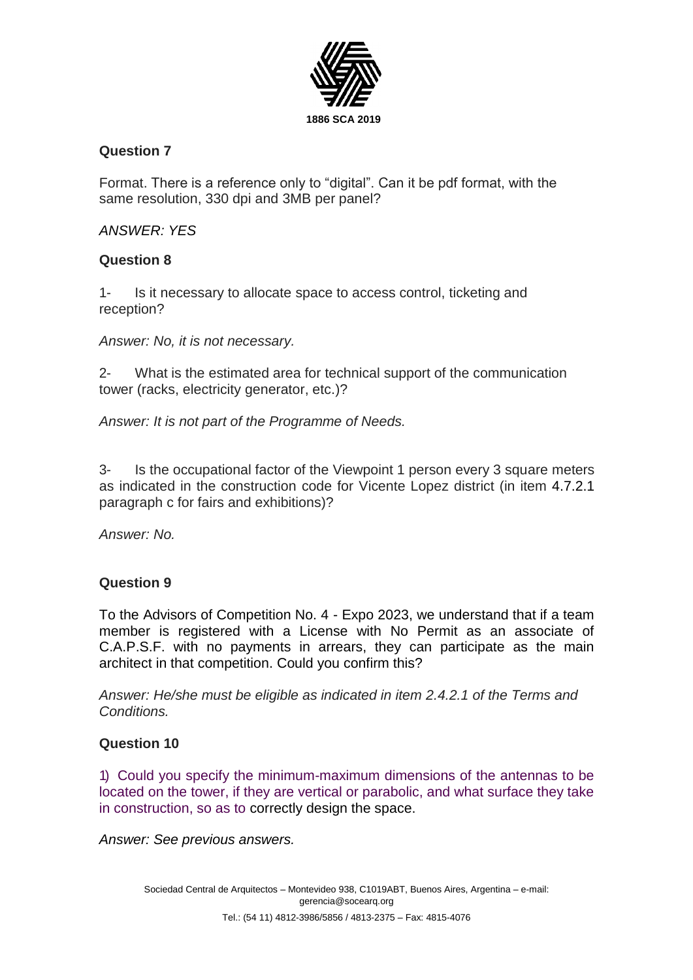

## **Question 7**

Format. There is a reference only to "digital". Can it be pdf format, with the same resolution, 330 dpi and 3MB per panel?

## *ANSWER: YES*

## **Question 8**

1- Is it necessary to allocate space to access control, ticketing and reception?

*Answer: No, it is not necessary.*

2- What is the estimated area for technical support of the communication tower (racks, electricity generator, etc.)?

*Answer: It is not part of the Programme of Needs.* 

3- Is the occupational factor of the Viewpoint 1 person every 3 square meters as indicated in the construction code for Vicente Lopez district (in item 4.7.2.1 paragraph c for fairs and exhibitions)?

*Answer: No.*

## **Question 9**

To the Advisors of Competition No. 4 - Expo 2023, we understand that if a team member is registered with a License with No Permit as an associate of C.A.P.S.F. with no payments in arrears, they can participate as the main architect in that competition. Could you confirm this?

*Answer: He/she must be eligible as indicated in item 2.4.2.1 of the Terms and Conditions.* 

### **Question 10**

1) Could you specify the minimum-maximum dimensions of the antennas to be located on the tower, if they are vertical or parabolic, and what surface they take in construction, so as to correctly design the space.

*Answer: See previous answers.*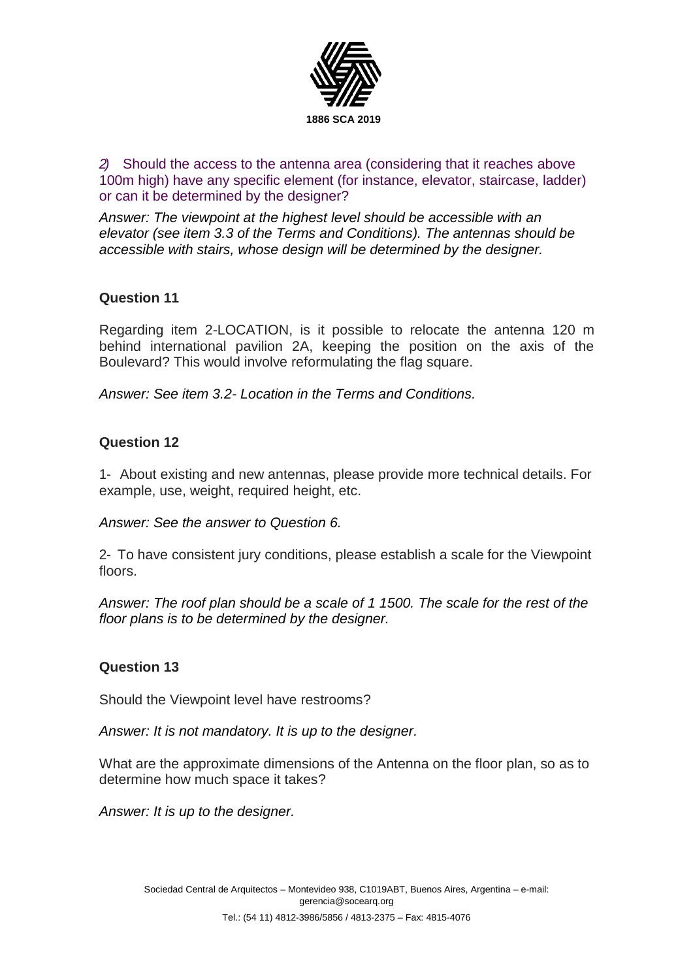

*2)* Should the access to the antenna area (considering that it reaches above 100m high) have any specific element (for instance, elevator, staircase, ladder) or can it be determined by the designer?

*Answer: The viewpoint at the highest level should be accessible with an elevator (see item 3.3 of the Terms and Conditions). The antennas should be accessible with stairs, whose design will be determined by the designer.* 

## **Question 11**

Regarding item 2-LOCATION, is it possible to relocate the antenna 120 m behind international pavilion 2A, keeping the position on the axis of the Boulevard? This would involve reformulating the flag square.

*Answer: See item 3.2- Location in the Terms and Conditions.*

## **Question 12**

1- About existing and new antennas, please provide more technical details. For example, use, weight, required height, etc.

*Answer: See the answer to Question 6.*

2- To have consistent jury conditions, please establish a scale for the Viewpoint floors.

*Answer: The roof plan should be a scale of 1 1500. The scale for the rest of the floor plans is to be determined by the designer.* 

### **Question 13**

Should the Viewpoint level have restrooms?

*Answer: It is not mandatory. It is up to the designer.*

What are the approximate dimensions of the Antenna on the floor plan, so as to determine how much space it takes?

*Answer: It is up to the designer.*